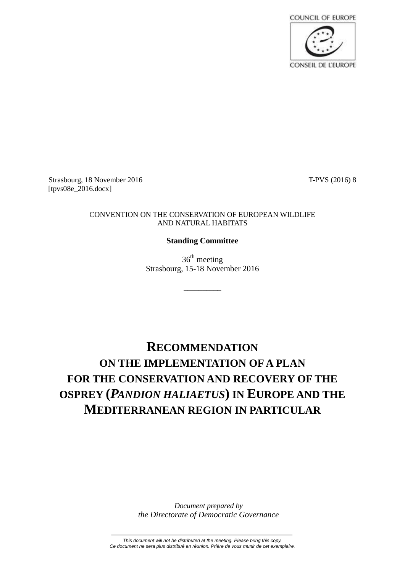

Strasbourg, 18 November 2016 T-PVS (2016) 8 [tpvs08e\_2016.docx]

## CONVENTION ON THE CONSERVATION OF EUROPEAN WILDLIFE AND NATURAL HABITATS

## **Standing Committee**

 $36<sup>th</sup>$  meeting Strasbourg, 15-18 November 2016

\_\_\_\_\_\_\_\_\_\_

## **RECOMMENDATION ON THE IMPLEMENTATION OF A PLAN FOR THE CONSERVATION AND RECOVERY OF THE OSPREY (***PANDION HALIAETUS***) IN EUROPE AND THE MEDITERRANEAN REGION IN PARTICULAR**

*Document prepared by the Directorate of Democratic Governance*

*This document will not be distributed at the meeting. Please bring this copy. Ce document ne sera plus distribué en réunion. Prière de vous munir de cet exemplaire.*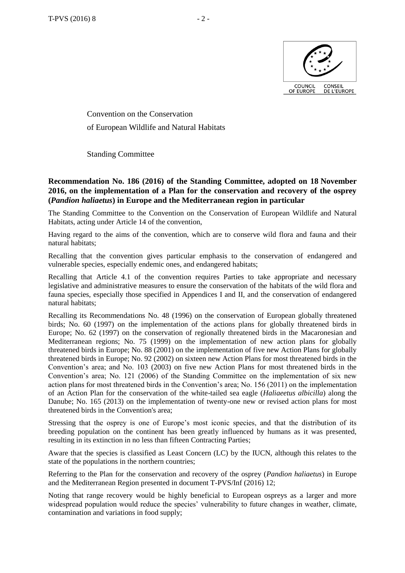

Convention on the Conservation of European Wildlife and Natural Habitats

Standing Committee

## **Recommendation No. 186 (2016) of the Standing Committee, adopted on 18 November 2016, on the implementation of a Plan for the conservation and recovery of the osprey (***Pandion haliaetus***) in Europe and the Mediterranean region in particular**

The Standing Committee to the Convention on the Conservation of European Wildlife and Natural Habitats, acting under Article 14 of the convention,

Having regard to the aims of the convention, which are to conserve wild flora and fauna and their natural habitats;

Recalling that the convention gives particular emphasis to the conservation of endangered and vulnerable species, especially endemic ones, and endangered habitats;

Recalling that Article 4.1 of the convention requires Parties to take appropriate and necessary legislative and administrative measures to ensure the conservation of the habitats of the wild flora and fauna species, especially those specified in Appendices I and II, and the conservation of endangered natural habitats;

Recalling its Recommendations No. 48 (1996) on the conservation of European globally threatened birds; No. 60 (1997) on the implementation of the actions plans for globally threatened birds in Europe; No. 62 (1997) on the conservation of regionally threatened birds in the Macaronesian and Mediterranean regions; No. 75 (1999) on the implementation of new action plans for globally threatened birds in Europe; No. 88 (2001) on the implementation of five new Action Plans for globally threatened birds in Europe; No. 92 (2002) on sixteen new Action Plans for most threatened birds in the Convention's area; and No. 103 (2003) on five new Action Plans for most threatened birds in the Convention's area; No. 121 (2006) of the Standing Committee on the implementation of six new action plans for most threatened birds in the Convention's area; No. 156 (2011) on the implementation of an Action Plan for the conservation of the white-tailed sea eagle (*Haliaeetus albicilla*) along the Danube; No. 165 (2013) on the implementation of twenty-one new or revised action plans for most threatened birds in the Convention's area;

Stressing that the osprey is one of Europe's most iconic species, and that the distribution of its breeding population on the continent has been greatly influenced by humans as it was presented, resulting in its extinction in no less than fifteen Contracting Parties;

Aware that the species is classified as Least Concern (LC) by the IUCN, although this relates to the state of the populations in the northern countries;

Referring to the Plan for the conservation and recovery of the osprey (*Pandion haliaetus*) in Europe and the Mediterranean Region presented in document T-PVS/Inf (2016) 12;

Noting that range recovery would be highly beneficial to European ospreys as a larger and more widespread population would reduce the species' vulnerability to future changes in weather, climate, contamination and variations in food supply;